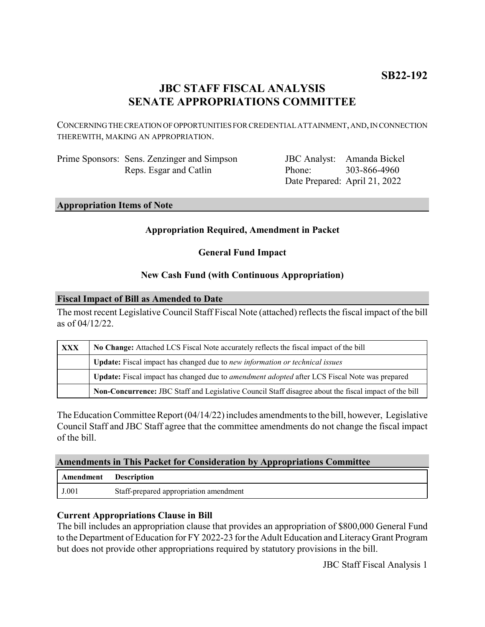# **JBC STAFF FISCAL ANALYSIS SENATE APPROPRIATIONS COMMITTEE**

CONCERNING THE CREATION OF OPPORTUNITIES FOR CREDENTIAL ATTAINMENT, AND, IN CONNECTION THEREWITH, MAKING AN APPROPRIATION.

Prime Sponsors: Sens. Zenzinger and Simpson Reps. Esgar and Catlin

JBC Analyst: Amanda Bickel Phone: Date Prepared: April 21, 2022 303-866-4960

### **Appropriation Items of Note**

### **Appropriation Required, Amendment in Packet**

**General Fund Impact**

## **New Cash Fund (with Continuous Appropriation)**

### **Fiscal Impact of Bill as Amended to Date**

The most recent Legislative Council Staff Fiscal Note (attached) reflects the fiscal impact of the bill as of 04/12/22.

| XXX | No Change: Attached LCS Fiscal Note accurately reflects the fiscal impact of the bill                 |
|-----|-------------------------------------------------------------------------------------------------------|
|     | Update: Fiscal impact has changed due to new information or technical issues                          |
|     | Update: Fiscal impact has changed due to <i>amendment adopted</i> after LCS Fiscal Note was prepared  |
|     | Non-Concurrence: JBC Staff and Legislative Council Staff disagree about the fiscal impact of the bill |

The Education Committee Report (04/14/22) includes amendments to the bill, however, Legislative Council Staff and JBC Staff agree that the committee amendments do not change the fiscal impact of the bill.

### **Amendments in This Packet for Consideration by Appropriations Committee**

| Amendment | <b>Description</b>                     |
|-----------|----------------------------------------|
| J.001     | Staff-prepared appropriation amendment |

### **Current Appropriations Clause in Bill**

The bill includes an appropriation clause that provides an appropriation of \$800,000 General Fund to the Department of Education for FY 2022-23 for the Adult Education and Literacy Grant Program but does not provide other appropriations required by statutory provisions in the bill.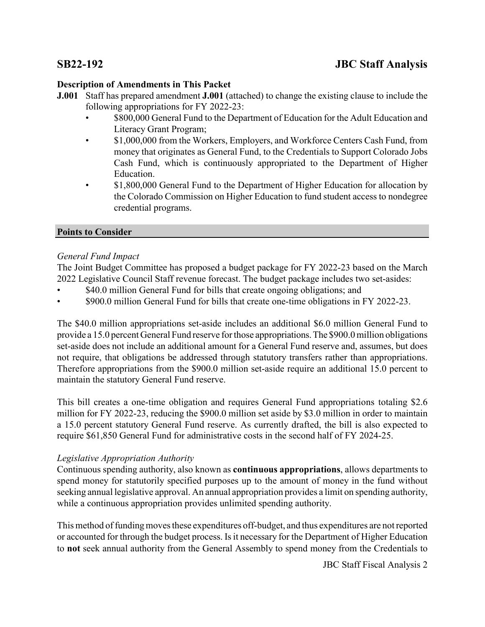# **Description of Amendments in This Packet**

- **J.001** Staff has prepared amendment **J.001** (attached) to change the existing clause to include the following appropriations for FY 2022-23:
	- \$800,000 General Fund to the Department of Education for the Adult Education and Literacy Grant Program;
	- \$1,000,000 from the Workers, Employers, and Workforce Centers Cash Fund, from money that originates as General Fund, to the Credentials to Support Colorado Jobs Cash Fund, which is continuously appropriated to the Department of Higher Education.
	- \$1,800,000 General Fund to the Department of Higher Education for allocation by the Colorado Commission on Higher Education to fund student access to nondegree credential programs.

## **Points to Consider**

## *General Fund Impact*

The Joint Budget Committee has proposed a budget package for FY 2022-23 based on the March 2022 Legislative Council Staff revenue forecast. The budget package includes two set-asides:

- \$40.0 million General Fund for bills that create ongoing obligations; and
- \$900.0 million General Fund for bills that create one-time obligations in FY 2022-23.

The \$40.0 million appropriations set-aside includes an additional \$6.0 million General Fund to provide a 15.0 percent General Fund reserve for those appropriations. The \$900.0 million obligations set-aside does not include an additional amount for a General Fund reserve and, assumes, but does not require, that obligations be addressed through statutory transfers rather than appropriations. Therefore appropriations from the \$900.0 million set-aside require an additional 15.0 percent to maintain the statutory General Fund reserve.

This bill creates a one-time obligation and requires General Fund appropriations totaling \$2.6 million for FY 2022-23, reducing the \$900.0 million set aside by \$3.0 million in order to maintain a 15.0 percent statutory General Fund reserve. As currently drafted, the bill is also expected to require \$61,850 General Fund for administrative costs in the second half of FY 2024-25.

# *Legislative Appropriation Authority*

Continuous spending authority, also known as **continuous appropriations**, allows departments to spend money for statutorily specified purposes up to the amount of money in the fund without seeking annual legislative approval. An annual appropriation provides a limit on spending authority, while a continuous appropriation provides unlimited spending authority.

This method of funding moves these expenditures off-budget, and thus expenditures are not reported or accounted for through the budget process. Is it necessary for the Department of Higher Education to **not** seek annual authority from the General Assembly to spend money from the Credentials to